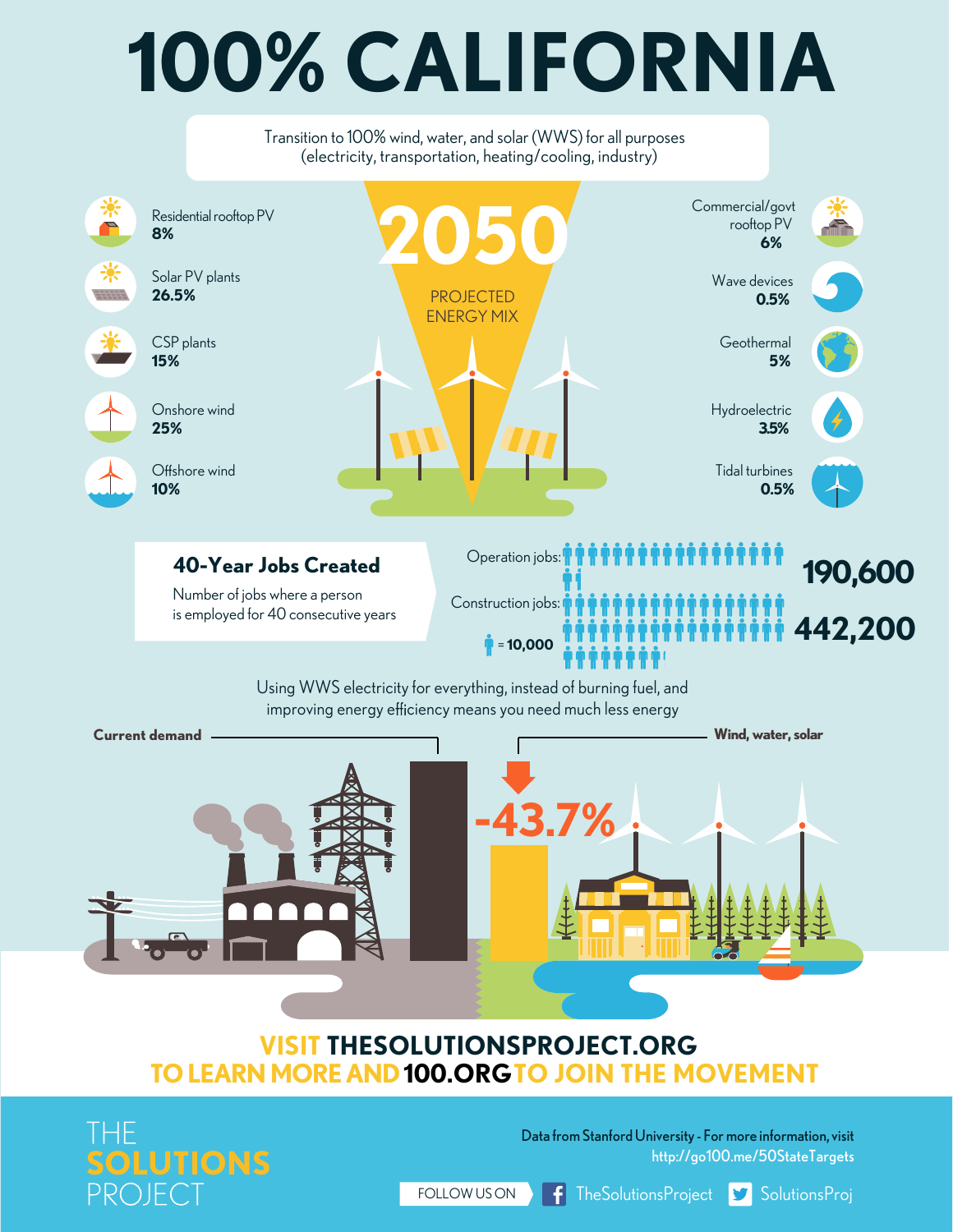## **100% CALIFORNIA**

Transition to 100% wind, water, and solar (WWS) for all purposes (electricity, transportation, heating/cooling, industry)Commercial/govt 茮 **2050** Residential rooftop PV rooftop PV **8% 6%** Solar PV plants Wave devices **26.5%** PROJECTED **0.5%** ENERGY MIX CSP plants **Geothermal 15% 5%** Onshore wind Hydroelectric **25% 3.5%** Offshore wind Tidal turbines **10% 0.5%** Operation jobs: **40-Year Jobs Created 190,600** Number of jobs where a person Construction jobs: is employed for 40 consecutive years **442,200** = **10,000** Using WWS electricity for everything, instead of burning fuel, and improving energy efficiency means you need much less energy



## **VISIT [THESOLUTIONSPROJECT.ORG](http://thesolutionsproject.org) TO LEARNMOREAN[D100.ORG](http://100.org)TO JOIN THE MOVEMENT**



Data fromStanfordUniversity - For more information, visit <http://go100.me/50StateTargets>